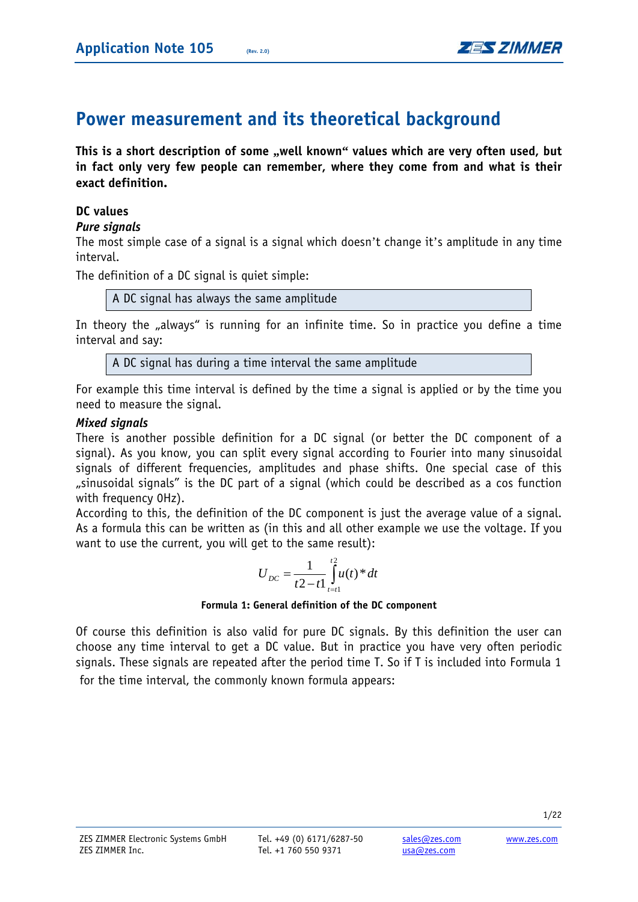# **Power measurement and its theoretical background**

**This is a short description of some "well known" values which are very often used, but in fact only very few people can remember, where they come from and what is their exact definition.** 

## **DC values**

## *Pure signals*

The most simple case of a signal is a signal which doesn't change it's amplitude in any time interval.

The definition of a DC signal is quiet simple:

A DC signal has always the same amplitude

In theory the "always" is running for an infinite time. So in practice you define a time interval and say:

A DC signal has during a time interval the same amplitude

For example this time interval is defined by the time a signal is applied or by the time you need to measure the signal.

## *Mixed signals*

There is another possible definition for a DC signal (or better the DC component of a signal). As you know, you can split every signal according to Fourier into many sinusoidal signals of different frequencies, amplitudes and phase shifts. One special case of this "sinusoidal signals" is the DC part of a signal (which could be described as a cos function with frequency 0Hz).

According to this, the definition of the DC component is just the average value of a signal. As a formula this can be written as (in this and all other example we use the voltage. If you want to use the current, you will get to the same result):

$$
U_{DC} = \frac{1}{t^2 - t} \int_{t=t}^{t^2} u(t)^* dt
$$

#### **Formula 1: General definition of the DC component**

Of course this definition is also valid for pure DC signals. By this definition the user can choose any time interval to get a DC value. But in practice you have very often periodic signals. These signals are repeated after the period time T. So if T is included into Formula 1 for the time interval, the commonly known formula appears: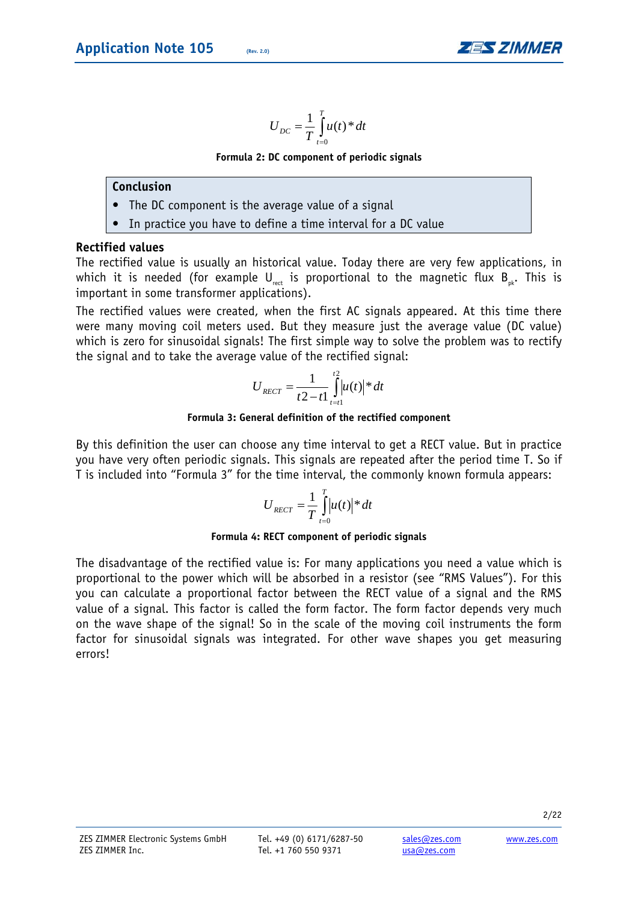

$$
U_{DC} = \frac{1}{T} \int_{t=0}^{T} u(t)^* dt
$$

**Formula 2: DC component of periodic signals** 

#### **Conclusion**

- **•** The DC component is the average value of a signal
- In practice you have to define a time interval for a DC value

## **Rectified values**

The rectified value is usually an historical value. Today there are very few applications, in which it is needed (for example  $U_{net}$  is proportional to the magnetic flux  $B_{net}$ . This is important in some transformer applications).

The rectified values were created, when the first AC signals appeared. At this time there were many moving coil meters used. But they measure just the average value (DC value) which is zero for sinusoidal signals! The first simple way to solve the problem was to rectify the signal and to take the average value of the rectified signal:

$$
U_{RECT} = \frac{1}{t^2 - t} \int_{t=t_1}^{t^2} |u(t)|^* dt
$$

#### **Formula 3: General definition of the rectified component**

By this definition the user can choose any time interval to get a RECT value. But in practice you have very often periodic signals. This signals are repeated after the period time T. So if T is included into "Formula 3" for the time interval, the commonly known formula appears:

$$
U_{RECT} = \frac{1}{T} \int_{t=0}^{T} |u(t)|^* dt
$$

#### **Formula 4: RECT component of periodic signals**

The disadvantage of the rectified value is: For many applications you need a value which is proportional to the power which will be absorbed in a resistor (see "RMS Values"). For this you can calculate a proportional factor between the RECT value of a signal and the RMS value of a signal. This factor is called the form factor. The form factor depends very much on the wave shape of the signal! So in the scale of the moving coil instruments the form factor for sinusoidal signals was integrated. For other wave shapes you get measuring errors!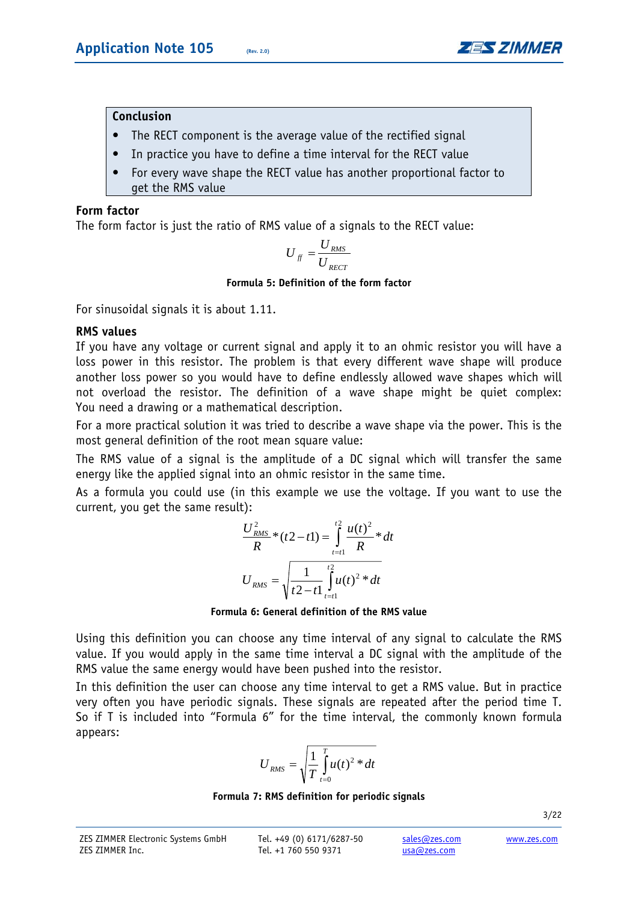

## **Conclusion**

- **•** The RECT component is the average value of the rectified signal
- **•** In practice you have to define a time interval for the RECT value
- **•** For every wave shape the RECT value has another proportional factor to get the RMS value

#### **Form factor**

The form factor is just the ratio of RMS value of a signals to the RECT value:

$$
U_{\text{ff}} = \frac{U_{\text{RMS}}}{U_{\text{RECT}}}
$$

#### **Formula 5: Definition of the form factor**

For sinusoidal signals it is about 1.11.

## **RMS values**

If you have any voltage or current signal and apply it to an ohmic resistor you will have a loss power in this resistor. The problem is that every different wave shape will produce another loss power so you would have to define endlessly allowed wave shapes which will not overload the resistor. The definition of a wave shape might be quiet complex: You need a drawing or a mathematical description.

For a more practical solution it was tried to describe a wave shape via the power. This is the most general definition of the root mean square value:

The RMS value of a signal is the amplitude of a DC signal which will transfer the same energy like the applied signal into an ohmic resistor in the same time.

As a formula you could use (in this example we use the voltage. If you want to use the current, you get the same result):

$$
\frac{U_{RMS}^2}{R} * (t2 - t1) = \int_{t=t1}^{t2} \frac{u(t)^2}{R} * dt
$$

$$
U_{RMS} = \sqrt{\frac{1}{t2 - t1} \int_{t=t1}^{t2} u(t)^2 * dt}
$$

#### **Formula 6: General definition of the RMS value**

Using this definition you can choose any time interval of any signal to calculate the RMS value. If you would apply in the same time interval a DC signal with the amplitude of the RMS value the same energy would have been pushed into the resistor.

In this definition the user can choose any time interval to get a RMS value. But in practice very often you have periodic signals. These signals are repeated after the period time T. So if T is included into "Formula 6" for the time interval, the commonly known formula appears:

$$
U_{RMS} = \sqrt{\frac{1}{T} \int_{t=0}^{T} u(t)^{2} * dt}
$$

#### **Formula 7: RMS definition for periodic signals**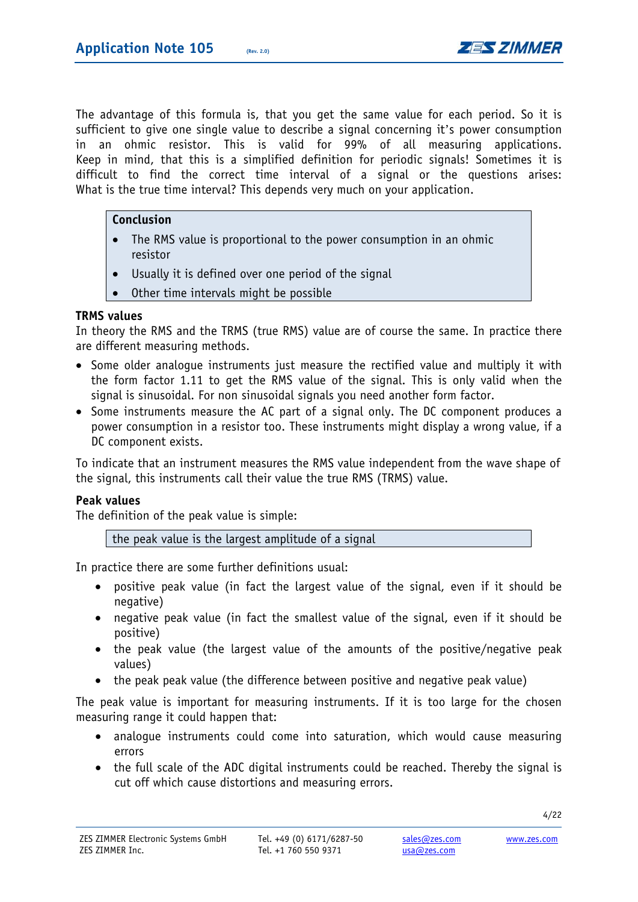

The advantage of this formula is, that you get the same value for each period. So it is sufficient to give one single value to describe a signal concerning it's power consumption in an ohmic resistor. This is valid for 99% of all measuring applications. Keep in mind, that this is a simplified definition for periodic signals! Sometimes it is difficult to find the correct time interval of a signal or the questions arises: What is the true time interval? This depends very much on your application.

# **Conclusion**

- The RMS value is proportional to the power consumption in an ohmic resistor
- Usually it is defined over one period of the signal
- Other time intervals might be possible

## **TRMS values**

In theory the RMS and the TRMS (true RMS) value are of course the same. In practice there are different measuring methods.

- Some older analogue instruments just measure the rectified value and multiply it with the form factor 1.11 to get the RMS value of the signal. This is only valid when the signal is sinusoidal. For non sinusoidal signals you need another form factor.
- Some instruments measure the AC part of a signal only. The DC component produces a power consumption in a resistor too. These instruments might display a wrong value, if a DC component exists.

To indicate that an instrument measures the RMS value independent from the wave shape of the signal, this instruments call their value the true RMS (TRMS) value.

#### **Peak values**

The definition of the peak value is simple:

the peak value is the largest amplitude of a signal

In practice there are some further definitions usual:

- positive peak value (in fact the largest value of the signal, even if it should be negative)
- negative peak value (in fact the smallest value of the signal, even if it should be positive)
- the peak value (the largest value of the amounts of the positive/negative peak values)
- the peak peak value (the difference between positive and negative peak value)

The peak value is important for measuring instruments. If it is too large for the chosen measuring range it could happen that:

- analogue instruments could come into saturation, which would cause measuring errors
- the full scale of the ADC digital instruments could be reached. Thereby the signal is cut off which cause distortions and measuring errors.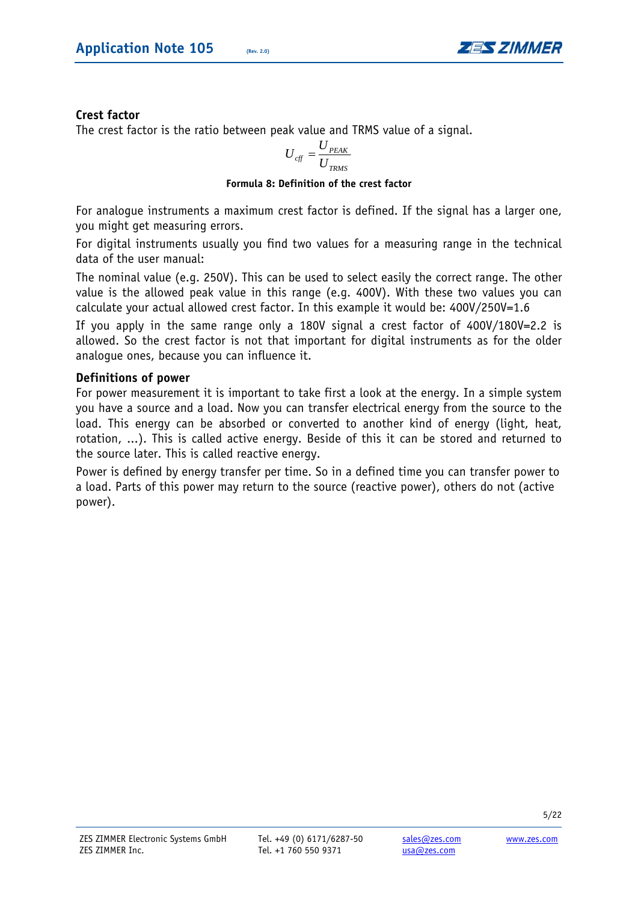

# **Crest factor**

The crest factor is the ratio between peak value and TRMS value of a signal.

$$
U_{\text{eff}} = \frac{U_{\text{PEAK}}}{U_{\text{TRMS}}}
$$

#### **Formula 8: Definition of the crest factor**

For analogue instruments a maximum crest factor is defined. If the signal has a larger one, you might get measuring errors.

For digital instruments usually you find two values for a measuring range in the technical data of the user manual:

The nominal value (e.g. 250V). This can be used to select easily the correct range. The other value is the allowed peak value in this range (e.g. 400V). With these two values you can calculate your actual allowed crest factor. In this example it would be: 400V/250V=1.6

If you apply in the same range only a 180V signal a crest factor of 400V/180V=2.2 is allowed. So the crest factor is not that important for digital instruments as for the older analogue ones, because you can influence it.

## **Definitions of power**

For power measurement it is important to take first a look at the energy. In a simple system you have a source and a load. Now you can transfer electrical energy from the source to the load. This energy can be absorbed or converted to another kind of energy (light, heat, rotation, ...). This is called active energy. Beside of this it can be stored and returned to the source later. This is called reactive energy.

Power is defined by energy transfer per time. So in a defined time you can transfer power to a load. Parts of this power may return to the source (reactive power), others do not (active power).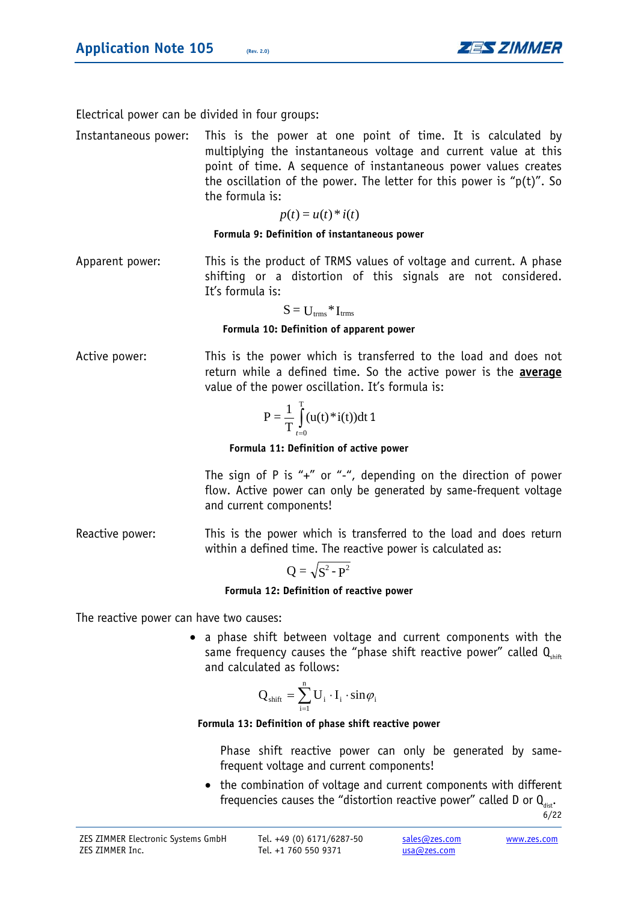

Electrical power can be divided in four groups:

Instantaneous power: This is the power at one point of time. It is calculated by multiplying the instantaneous voltage and current value at this point of time. A sequence of instantaneous power values creates the oscillation of the power. The letter for this power is " $p(t)$ ". So the formula is:

 $p(t) = u(t) * i(t)$ 

**Formula 9: Definition of instantaneous power** 

Apparent power: This is the product of TRMS values of voltage and current. A phase shifting or a distortion of this signals are not considered. It's formula is:

$$
S = U_{\rm trms} \, {}^*\, I_{\rm trms}
$$

**Formula 10: Definition of apparent power** 

Active power: This is the power which is transferred to the load and does not return while a defined time. So the active power is the **average** value of the power oscillation. It's formula is:

$$
P = \frac{1}{T} \int_{t=0}^{T} (u(t) * i(t)) dt \, 1
$$

**Formula 11: Definition of active power** 

The sign of P is "+" or "-", depending on the direction of power flow. Active power can only be generated by same-frequent voltage and current components!

Reactive power: This is the power which is transferred to the load and does return within a defined time. The reactive power is calculated as:

$$
Q = \sqrt{S^2 - P^2}
$$

**Formula 12: Definition of reactive power** 

The reactive power can have two causes:

• a phase shift between voltage and current components with the same frequency causes the "phase shift reactive power" called  $Q_{\text{max}}$ and calculated as follows:

$$
Q_{\text{shift}} = \sum_{i=1}^{n} U_i \cdot I_i \cdot \sin \varphi_i
$$

#### **Formula 13: Definition of phase shift reactive power**

Phase shift reactive power can only be generated by samefrequent voltage and current components!

• the combination of voltage and current components with different frequencies causes the "distortion reactive power" called D or  $Q_{\text{dist}}$ .

6/22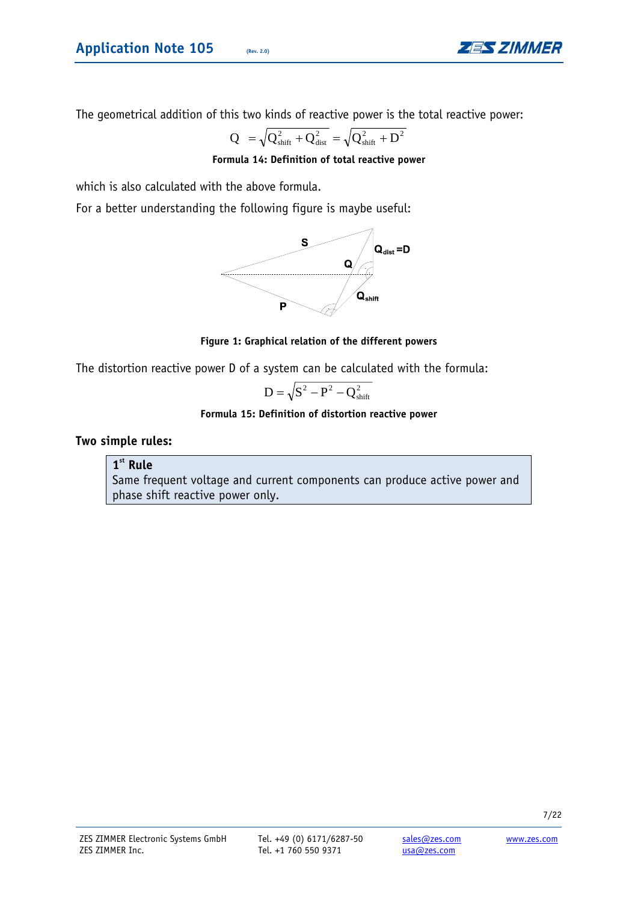

The geometrical addition of this two kinds of reactive power is the total reactive power:

$$
Q = \sqrt{Q_{\text{shift}}^2 + Q_{\text{dist}}^2} = \sqrt{Q_{\text{shift}}^2 + D^2}
$$

**Formula 14: Definition of total reactive power** 

which is also calculated with the above formula.

For a better understanding the following figure is maybe useful:



#### **Figure 1: Graphical relation of the different powers**

The distortion reactive power D of a system can be calculated with the formula:

$$
D = \sqrt{S^2 - P^2 - Q_{\text{shift}}^2}
$$

#### **Formula 15: Definition of distortion reactive power**

#### **Two simple rules:**

#### **1st Rule**

Same frequent voltage and current components can produce active power and phase shift reactive power only.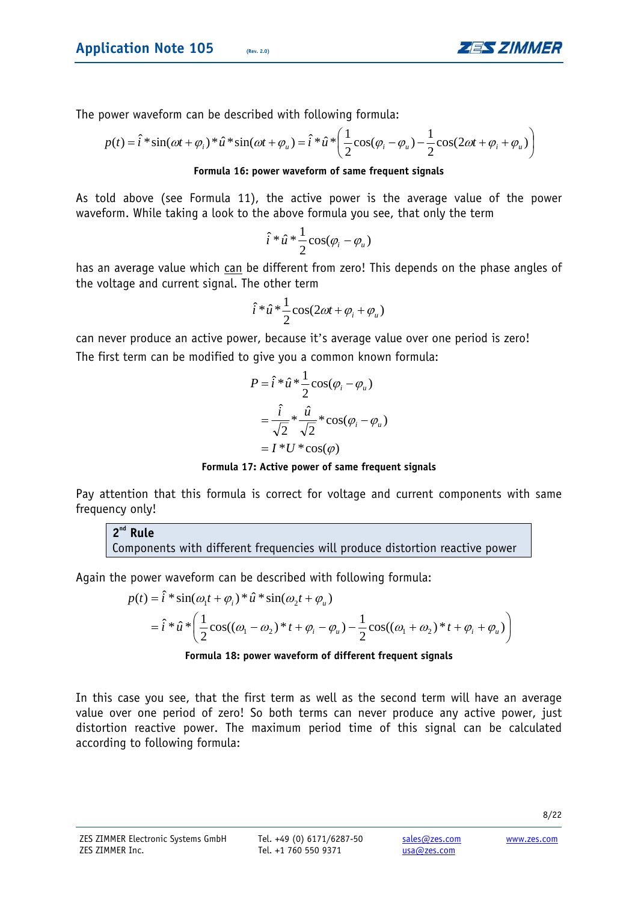

The power waveform can be described with following formula:

$$
p(t) = \hat{i} * \sin(\omega t + \varphi_i) * \hat{u} * \sin(\omega t + \varphi_u) = \hat{i} * \hat{u} * \left(\frac{1}{2}\cos(\varphi_i - \varphi_u) - \frac{1}{2}\cos(2\omega t + \varphi_i + \varphi_u)\right)
$$

#### **Formula 16: power waveform of same frequent signals**

As told above (see Formula 11), the active power is the average value of the power waveform. While taking a look to the above formula you see, that only the term

$$
\hat{i} * \hat{u} * \frac{1}{2}\cos(\varphi_i - \varphi_u)
$$

has an average value which can be different from zero! This depends on the phase angles of the voltage and current signal. The other term

$$
\hat{i} \ast \hat{u} \ast \frac{1}{2} \cos(2\omega t + \varphi_i + \varphi_u)
$$

can never produce an active power, because it's average value over one period is zero! The first term can be modified to give you a common known formula:

$$
P = \hat{i} * \hat{u} * \frac{1}{2}\cos(\varphi_i - \varphi_u)
$$
  
=  $\frac{\hat{i}}{\sqrt{2}} * \frac{\hat{u}}{\sqrt{2}} * \cos(\varphi_i - \varphi_u)$   
=  $I * U * \cos(\varphi)$ 

**Formula 17: Active power of same frequent signals** 

Pay attention that this formula is correct for voltage and current components with same frequency only!

**2nd Rule**  Components with different frequencies will produce distortion reactive power

Again the power waveform can be described with following formula:

$$
p(t) = \hat{i} * \sin(\omega_1 t + \varphi_i) * \hat{u} * \sin(\omega_2 t + \varphi_u)
$$
  
=  $\hat{i} * \hat{u} * \left( \frac{1}{2} \cos((\omega_1 - \omega_2) * t + \varphi_i - \varphi_u) - \frac{1}{2} \cos((\omega_1 + \omega_2) * t + \varphi_i + \varphi_u) \right)$ 

#### **Formula 18: power waveform of different frequent signals**

In this case you see, that the first term as well as the second term will have an average value over one period of zero! So both terms can never produce any active power, just distortion reactive power. The maximum period time of this signal can be calculated according to following formula: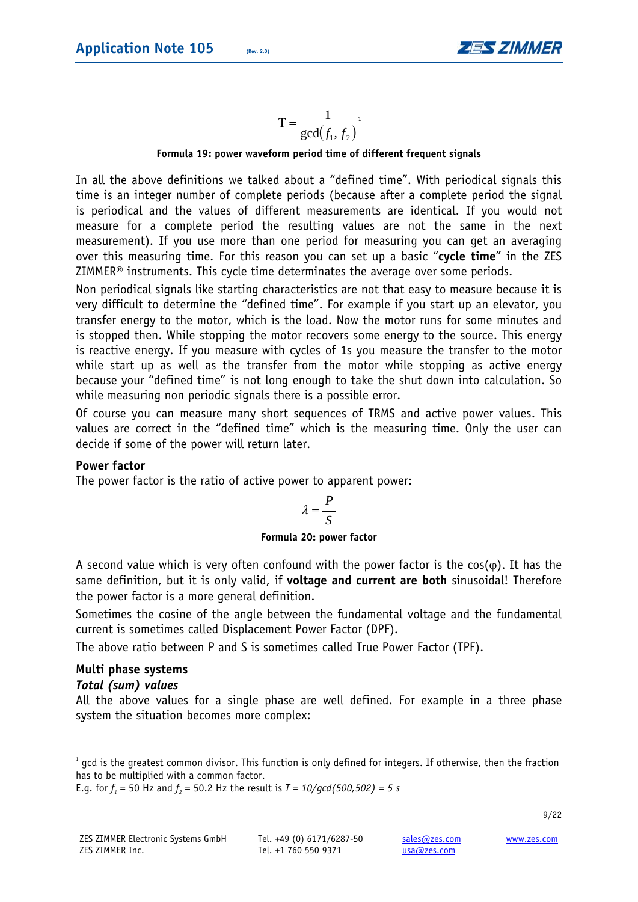

**Formula 19: power waveform period time of different frequent signals** 

In all the above definitions we talked about a "defined time". With periodical signals this time is an integer number of complete periods (because after a complete period the signal is periodical and the values of different measurements are identical. If you would not measure for a complete period the resulting values are not the same in the next measurement). If you use more than one period for measuring you can get an averaging over this measuring time. For this reason you can set up a basic "**cycle time**" in the ZES ZIMMER® instruments. This cycle time determinates the average over some periods.

Non periodical signals like starting characteristics are not that easy to measure because it is very difficult to determine the "defined time". For example if you start up an elevator, you transfer energy to the motor, which is the load. Now the motor runs for some minutes and is stopped then. While stopping the motor recovers some energy to the source. This energy is reactive energy. If you measure with cycles of 1s you measure the transfer to the motor while start up as well as the transfer from the motor while stopping as active energy because your "defined time" is not long enough to take the shut down into calculation. So while measuring non periodic signals there is a possible error.

Of course you can measure many short sequences of TRMS and active power values. This values are correct in the "defined time" which is the measuring time. Only the user can decide if some of the power will return later.

#### **Power factor**

The power factor is the ratio of active power to apparent power:

$$
\lambda = \frac{|P|}{S}
$$

#### **Formula 20: power factor**

A second value which is very often confound with the power factor is the cos( $\varphi$ ). It has the same definition, but it is only valid, if **voltage and current are both** sinusoidal! Therefore the power factor is a more general definition.

Sometimes the cosine of the angle between the fundamental voltage and the fundamental current is sometimes called Displacement Power Factor (DPF).

The above ratio between P and S is sometimes called True Power Factor (TPF).

#### **Multi phase systems**  *Total (sum) values*

1

All the above values for a single phase are well defined. For example in a three phase system the situation becomes more complex:

 $^1$  gcd is the greatest common divisor. This function is only defined for integers. If otherwise, then the fraction has to be multiplied with a common factor.

E.g. for  $f_1$  = 50 Hz and  $f_2$  = 50.2 Hz the result is  $T = 10/gcd(500,502) = 5 s$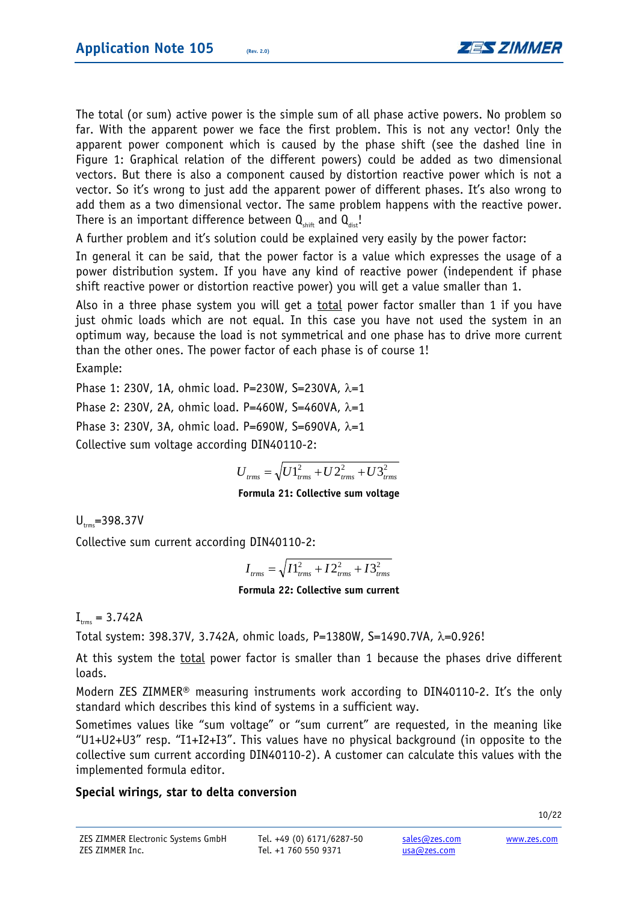

The total (or sum) active power is the simple sum of all phase active powers. No problem so far. With the apparent power we face the first problem. This is not any vector! Only the apparent power component which is caused by the phase shift (see the dashed line in Figure 1: Graphical relation of the different powers) could be added as two dimensional vectors. But there is also a component caused by distortion reactive power which is not a vector. So it's wrong to just add the apparent power of different phases. It's also wrong to add them as a two dimensional vector. The same problem happens with the reactive power. There is an important difference between  $Q_{\text{shift}}$  and  $Q_{\text{dist}}$ !

A further problem and it's solution could be explained very easily by the power factor:

In general it can be said, that the power factor is a value which expresses the usage of a power distribution system. If you have any kind of reactive power (independent if phase shift reactive power or distortion reactive power) you will get a value smaller than 1.

Also in a three phase system you will get a total power factor smaller than 1 if you have just ohmic loads which are not equal. In this case you have not used the system in an optimum way, because the load is not symmetrical and one phase has to drive more current than the other ones. The power factor of each phase is of course 1!

Example:

Phase 1: 230V, 1A, ohmic load. P=230W, S=230VA, λ=1

Phase 2: 230V, 2A, ohmic load. P=460W, S=460VA,  $\lambda$ =1

Phase 3: 230V, 3A, ohmic load. P=690W, S=690VA,  $λ=1$ 

Collective sum voltage according DIN40110-2:

$$
U_{\text{trms}} = \sqrt{U_1^2_{\text{trms}} + U_2^2_{\text{trms}} + U_3^2_{\text{trms}}}
$$

#### **Formula 21: Collective sum voltage**

 $U_{\text{true}}$ =398.37V

Collective sum current according DIN40110-2:

$$
I_{\text{trms}} = \sqrt{I_{\text{trms}}^2 + I_{\text{trms}}^2 + I_{\text{trms}}^2}
$$

#### **Formula 22: Collective sum current**

 $I_{rms} = 3.742A$ 

Total system: 398.37V, 3.742A, ohmic loads, P=1380W, S=1490.7VA, λ=0.926!

At this system the <u>total</u> power factor is smaller than 1 because the phases drive different loads.

Modern ZES ZIMMER® measuring instruments work according to DIN40110-2. It's the only standard which describes this kind of systems in a sufficient way.

Sometimes values like "sum voltage" or "sum current" are requested, in the meaning like "U1+U2+U3" resp. "I1+I2+I3". This values have no physical background (in opposite to the collective sum current according DIN40110-2). A customer can calculate this values with the implemented formula editor.

# **Special wirings, star to delta conversion**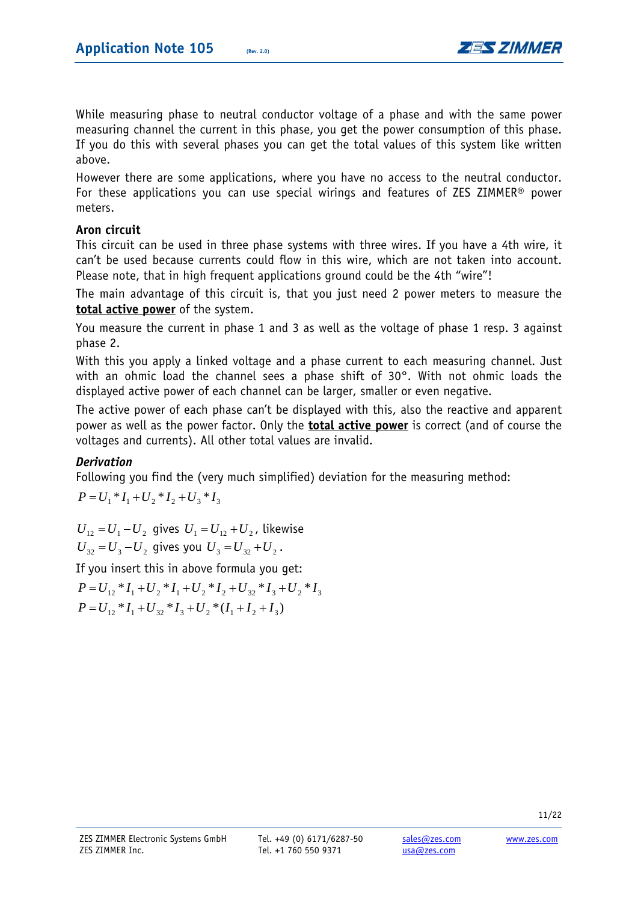

While measuring phase to neutral conductor voltage of a phase and with the same power measuring channel the current in this phase, you get the power consumption of this phase. If you do this with several phases you can get the total values of this system like written above.

However there are some applications, where you have no access to the neutral conductor. For these applications you can use special wirings and features of ZES ZIMMER® power meters.

# **Aron circuit**

This circuit can be used in three phase systems with three wires. If you have a 4th wire, it can't be used because currents could flow in this wire, which are not taken into account. Please note, that in high frequent applications ground could be the 4th "wire"!

The main advantage of this circuit is, that you just need 2 power meters to measure the **total active power** of the system.

You measure the current in phase 1 and 3 as well as the voltage of phase 1 resp. 3 against phase 2.

With this you apply a linked voltage and a phase current to each measuring channel. Just with an ohmic load the channel sees a phase shift of 30°. With not ohmic loads the displayed active power of each channel can be larger, smaller or even negative.

The active power of each phase can't be displayed with this, also the reactive and apparent power as well as the power factor. Only the **total active power** is correct (and of course the voltages and currents). All other total values are invalid.

# *Derivation*

Following you find the (very much simplified) deviation for the measuring method:

 $P = U_1 * I_1 + U_2 * I_2 + U_3 * I_3$ 

 $U_{12} = U_1 - U_2$  gives  $U_1 = U_{12} + U_2$ , likewise  $U_{32} = U_3 - U_2$  gives you  $U_3 = U_{32} + U_2$ .

If you insert this in above formula you get:

 $P = U_{12} * I_1 + U_{32} * I_3 + U_2 * (I_1 + I_2 + I_3)$  $P = U_{12} * I_1 + U_2 * I_1 + U_2 * I_2 + U_{32} * I_3 + U_2 * I_3$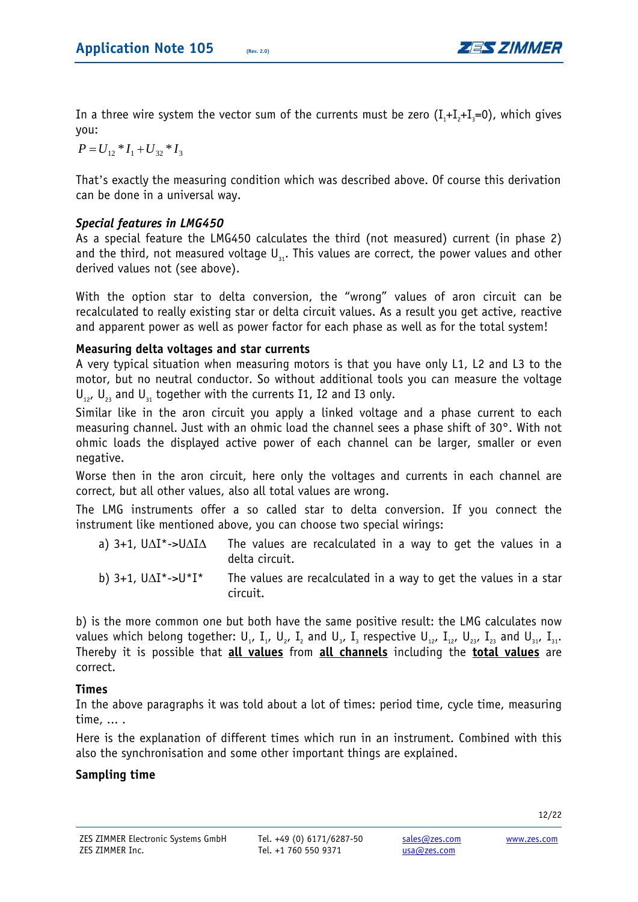

In a three wire system the vector sum of the currents must be zero  $(I_{+}+I_{+}+I_{-}=0)$ , which gives you:

 $P = U_{12} * I_1 + U_{32} * I_3$ 

That's exactly the measuring condition which was described above. Of course this derivation can be done in a universal way.

# *Special features in LMG450*

As a special feature the LMG450 calculates the third (not measured) current (in phase 2) and the third, not measured voltage  $U_{31}$ . This values are correct, the power values and other derived values not (see above).

With the option star to delta conversion, the "wrong" values of aron circuit can be recalculated to really existing star or delta circuit values. As a result you get active, reactive and apparent power as well as power factor for each phase as well as for the total system!

# **Measuring delta voltages and star currents**

A very typical situation when measuring motors is that you have only L1, L2 and L3 to the motor, but no neutral conductor. So without additional tools you can measure the voltage  $U_{12}$ ,  $U_{22}$  and  $U_{21}$  together with the currents I1, I2 and I3 only.

Similar like in the aron circuit you apply a linked voltage and a phase current to each measuring channel. Just with an ohmic load the channel sees a phase shift of 30°. With not ohmic loads the displayed active power of each channel can be larger, smaller or even negative.

Worse then in the aron circuit, here only the voltages and currents in each channel are correct, but all other values, also all total values are wrong.

The LMG instruments offer a so called star to delta conversion. If you connect the instrument like mentioned above, you can choose two special wirings:

| a) $3+1$ , $U\Delta I^*$ -> $U\Delta I\Delta$ The values are recalculated in a way to get the values in a |                |  |  |  |  |  |
|-----------------------------------------------------------------------------------------------------------|----------------|--|--|--|--|--|
|                                                                                                           | delta circuit. |  |  |  |  |  |

b) 3+1,  $U\Delta I^*$ ->U<sup>\*</sup>I<sup>\*</sup> The values are recalculated in a way to get the values in a star circuit.

b) is the more common one but both have the same positive result: the LMG calculates now values which belong together:  $U_1$ ,  $I_1$ ,  $U_2$ ,  $I_2$  and  $U_3$ ,  $I_3$  respective  $U_{12}$ ,  $I_{21}$ ,  $U_{23}$ ,  $I_{23}$  and  $U_{31}$ ,  $I_{31}$ . Thereby it is possible that **all values** from **all channels** including the **total values** are correct.

# **Times**

In the above paragraphs it was told about a lot of times: period time, cycle time, measuring time, ... .

Here is the explanation of different times which run in an instrument. Combined with this also the synchronisation and some other important things are explained.

# **Sampling time**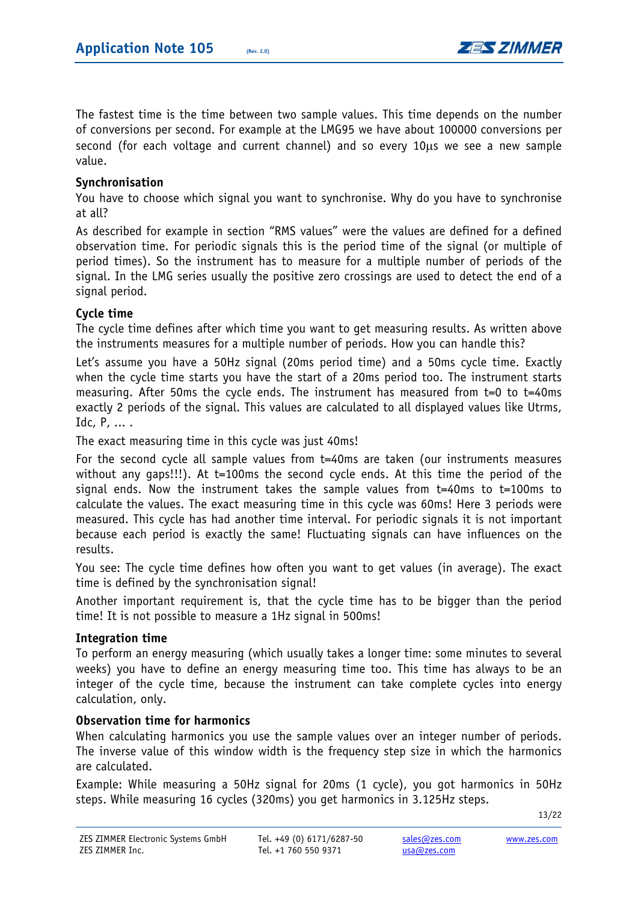

The fastest time is the time between two sample values. This time depends on the number of conversions per second. For example at the LMG95 we have about 100000 conversions per second (for each voltage and current channel) and so every 10μs we see a new sample value.

## **Synchronisation**

You have to choose which signal you want to synchronise. Why do you have to synchronise at all?

As described for example in section "RMS values" were the values are defined for a defined observation time. For periodic signals this is the period time of the signal (or multiple of period times). So the instrument has to measure for a multiple number of periods of the signal. In the LMG series usually the positive zero crossings are used to detect the end of a signal period.

## **Cycle time**

The cycle time defines after which time you want to get measuring results. As written above the instruments measures for a multiple number of periods. How you can handle this?

Let's assume you have a 50Hz signal (20ms period time) and a 50ms cycle time. Exactly when the cycle time starts you have the start of a 20ms period too. The instrument starts measuring. After 50ms the cycle ends. The instrument has measured from t=0 to t=40ms exactly 2 periods of the signal. This values are calculated to all displayed values like Utrms, Idc, P, ... .

The exact measuring time in this cycle was just 40ms!

For the second cycle all sample values from t=40ms are taken (our instruments measures without any qaps!!!). At t=100ms the second cycle ends. At this time the period of the signal ends. Now the instrument takes the sample values from t=40ms to t=100ms to calculate the values. The exact measuring time in this cycle was 60ms! Here 3 periods were measured. This cycle has had another time interval. For periodic signals it is not important because each period is exactly the same! Fluctuating signals can have influences on the results.

You see: The cycle time defines how often you want to get values (in average). The exact time is defined by the synchronisation signal!

Another important requirement is, that the cycle time has to be bigger than the period time! It is not possible to measure a 1Hz signal in 500ms!

#### **Integration time**

To perform an energy measuring (which usually takes a longer time: some minutes to several weeks) you have to define an energy measuring time too. This time has always to be an integer of the cycle time, because the instrument can take complete cycles into energy calculation, only.

## **Observation time for harmonics**

When calculating harmonics you use the sample values over an integer number of periods. The inverse value of this window width is the frequency step size in which the harmonics are calculated.

Example: While measuring a 50Hz signal for 20ms (1 cycle), you got harmonics in 50Hz steps. While measuring 16 cycles (320ms) you get harmonics in 3.125Hz steps.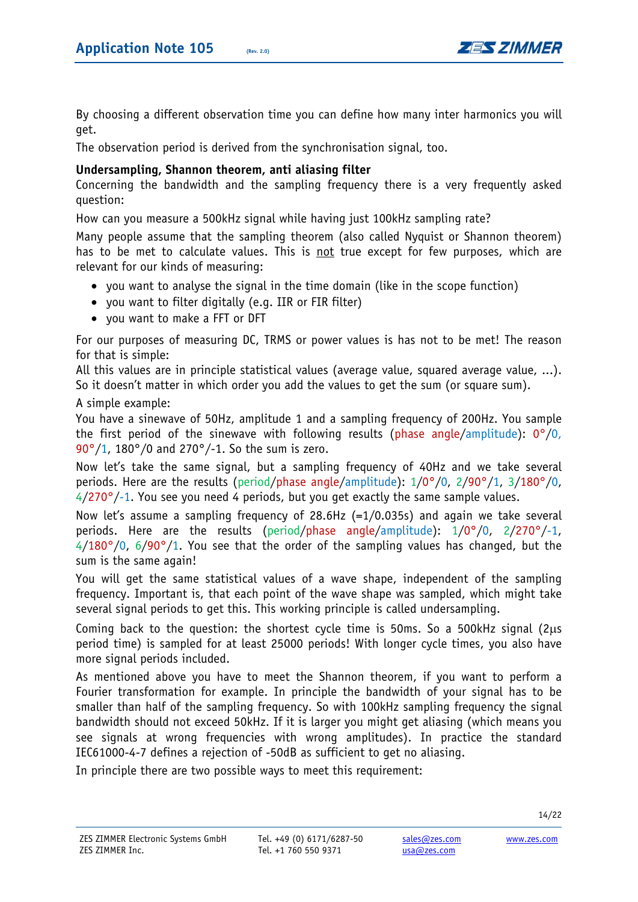

By choosing a different observation time you can define how many inter harmonics you will get.

The observation period is derived from the synchronisation signal, too.

## **Undersampling, Shannon theorem, anti aliasing filter**

Concerning the bandwidth and the sampling frequency there is a very frequently asked question:

How can you measure a 500kHz signal while having just 100kHz sampling rate?

Many people assume that the sampling theorem (also called Nyquist or Shannon theorem) has to be met to calculate values. This is not true except for few purposes, which are relevant for our kinds of measuring:

- you want to analyse the signal in the time domain (like in the scope function)
- you want to filter digitally (e.g. IIR or FIR filter)
- you want to make a FFT or DFT

For our purposes of measuring DC, TRMS or power values is has not to be met! The reason for that is simple:

All this values are in principle statistical values (average value, squared average value, ...). So it doesn't matter in which order you add the values to get the sum (or square sum).

A simple example:

You have a sinewave of 50Hz, amplitude 1 and a sampling frequency of 200Hz. You sample the first period of the sinewave with following results (phase angle/amplitude):  $0^{\circ}/0$ , 90°/1, 180°/0 and 270°/-1. So the sum is zero.

Now let's take the same signal, but a sampling frequency of 40Hz and we take several periods. Here are the results (period/phase angle/amplitude): 1/0°/0, 2/90°/1, 3/180°/0,  $4/270^{\circ}/-1$ . You see you need 4 periods, but you get exactly the same sample values.

Now let's assume a sampling frequency of 28.6Hz (=1/0.035s) and again we take several periods. Here are the results (period/phase angle/amplitude): 1/0°/0, 2/270°/-1,  $4/180^{\circ}/0$ ,  $6/90^{\circ}/1$ . You see that the order of the sampling values has changed, but the sum is the same again!

You will get the same statistical values of a wave shape, independent of the sampling frequency. Important is, that each point of the wave shape was sampled, which might take several signal periods to get this. This working principle is called undersampling.

Coming back to the question: the shortest cycle time is 50ms. So a 500kHz signal (2μs period time) is sampled for at least 25000 periods! With longer cycle times, you also have more signal periods included.

As mentioned above you have to meet the Shannon theorem, if you want to perform a Fourier transformation for example. In principle the bandwidth of your signal has to be smaller than half of the sampling frequency. So with 100kHz sampling frequency the signal bandwidth should not exceed 50kHz. If it is larger you might get aliasing (which means you see signals at wrong frequencies with wrong amplitudes). In practice the standard IEC61000-4-7 defines a rejection of -50dB as sufficient to get no aliasing.

In principle there are two possible ways to meet this requirement: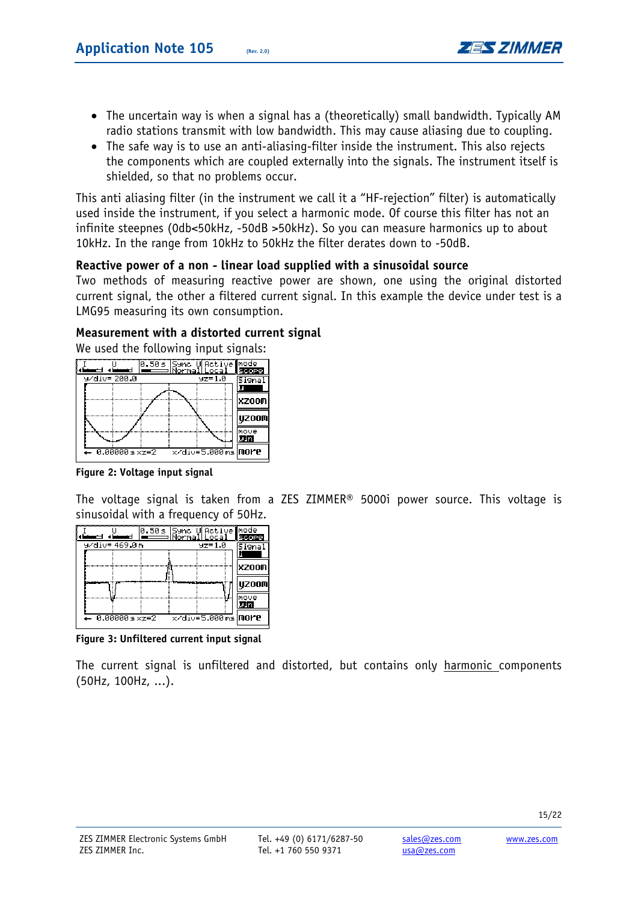

- The uncertain way is when a signal has a (theoretically) small bandwidth. Typically AM radio stations transmit with low bandwidth. This may cause aliasing due to coupling.
- The safe way is to use an anti-aliasing-filter inside the instrument. This also rejects the components which are coupled externally into the signals. The instrument itself is shielded, so that no problems occur.

This anti aliasing filter (in the instrument we call it a "HF-rejection" filter) is automatically used inside the instrument, if you select a harmonic mode. Of course this filter has not an infinite steepnes (0db<50kHz, -50dB >50kHz). So you can measure harmonics up to about 10kHz. In the range from 10kHz to 50kHz the filter derates down to -50dB.

# **Reactive power of a non - linear load supplied with a sinusoidal source**

Two methods of measuring reactive power are shown, one using the original distorted current signal, the other a filtered current signal. In this example the device under test is a LMG95 measuring its own consumption.

# **Measurement with a distorted current signal**

We used the following input signals:

|  |                 |  | 0.50s Sync UActive mode<br>  <del>-  </del>   Normal Local    Scor | scope  |
|--|-----------------|--|--------------------------------------------------------------------|--------|
|  | 9/div= 200.0    |  | $yz = 1.0$                                                         | iigna  |
|  |                 |  |                                                                    | lxzoom |
|  |                 |  |                                                                    | UZ00M  |
|  |                 |  |                                                                    | move   |
|  | $-0.000005xz=2$ |  | x/div=5.000 ms more                                                |        |

**Figure 2: Voltage input signal** 

The voltage signal is taken from a ZES ZIMMER® 5000i power source. This voltage is sinusoidal with a frequency of 50Hz.

|                         | 0.50s Sync Unctive mode<br>NormalLocal Scop | scope        |
|-------------------------|---------------------------------------------|--------------|
| 9⁄di∪= 469.0m           | $yz = 1.0$                                  | Signa        |
|                         |                                             |              |
|                         |                                             | XZOOM        |
|                         |                                             |              |
|                         |                                             | <b>UZ00M</b> |
|                         |                                             | Imove        |
|                         |                                             |              |
| $0.000005 \times z = 2$ | x/div=5.000 ms more                         |              |

**Figure 3: Unfiltered current input signal** 

The current signal is unfiltered and distorted, but contains only harmonic components (50Hz, 100Hz, ...).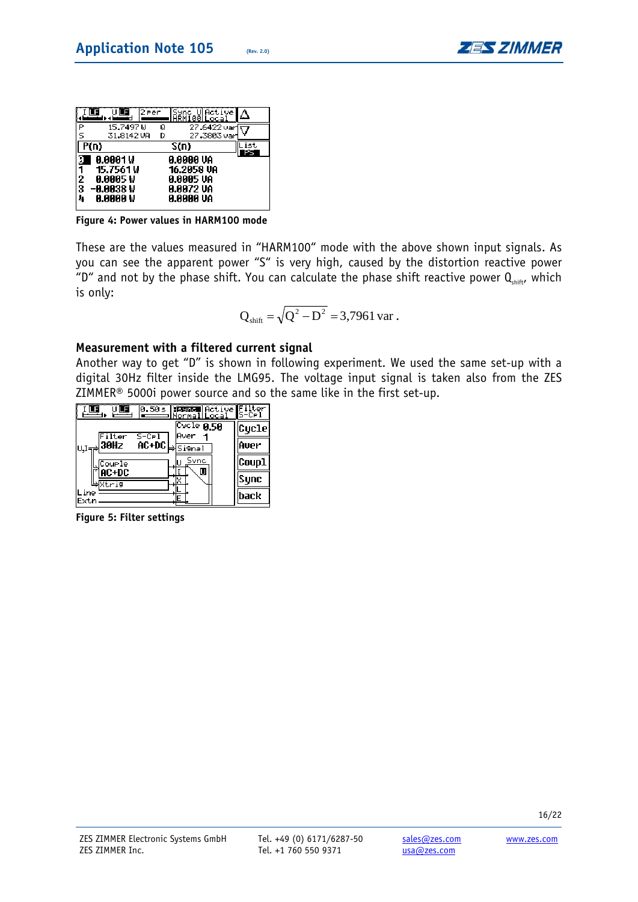

|                   | ULE                     | l2 een | lSync -<br>100Llocal        | UlActive<br>Δ |
|-------------------|-------------------------|--------|-----------------------------|---------------|
|                   | 15.7497 W<br>31.8142 VR | Q<br>D | 27.6422 varf<br>27.3803 var |               |
| $\overline{P(n)}$ |                         |        | S(n)                        |               |
|                   |                         |        |                             |               |
| Э                 | 0.0001W                 |        | 0.0000 VA                   |               |
| ī                 | 15.7561 W<br>0.0005 W   |        | 16.2058 VA<br>0.0005 VA     |               |
| 2<br>3<br>4       | -0.0038 W<br>0.0000 V   |        | 0.0072 VA<br>0.0000 VA      |               |

**Figure 4: Power values in HARM100 mode** 

These are the values measured in "HARM100" mode with the above shown input signals. As you can see the apparent power "S" is very high, caused by the distortion reactive power "D" and not by the phase shift. You can calculate the phase shift reactive power  $Q_{shift}$ , which is only:

$$
Q_{\text{shift}} = \sqrt{Q^2 - D^2} = 3,7961 \text{ var.}
$$

## **Measurement with a filtered current signal**

Another way to get "D" is shown in following experiment. We used the same set-up with a digital 30Hz filter inside the LMG95. The voltage input signal is taken also from the ZES ZIMMER® 5000i power source and so the same like in the first set-up.

| ŰË<br>Œ<br>0.50s Beared Active<br><u> Normal Local</u>                                 | Filter<br>S−C⊳l |
|----------------------------------------------------------------------------------------|-----------------|
| $\overline{\text{Cycle}}$ 8.58<br>Aver<br>$S$ –Cel<br>Filter                           | Cycle           |
| AC+DC l<br>$_{\mathrm{U,I}\rightarrow\mathrm{\overline{\rho}}}\vert 30$ Hz<br>⇒lSi9nal | Aver            |
| Sync<br>LOUPLE                                                                         | Coup1           |
| U<br>)AC+DC<br>ط⊠स्टिक                                                                 | Sync            |
| ine<br>Extn                                                                            | back            |

**Figure 5: Filter settings**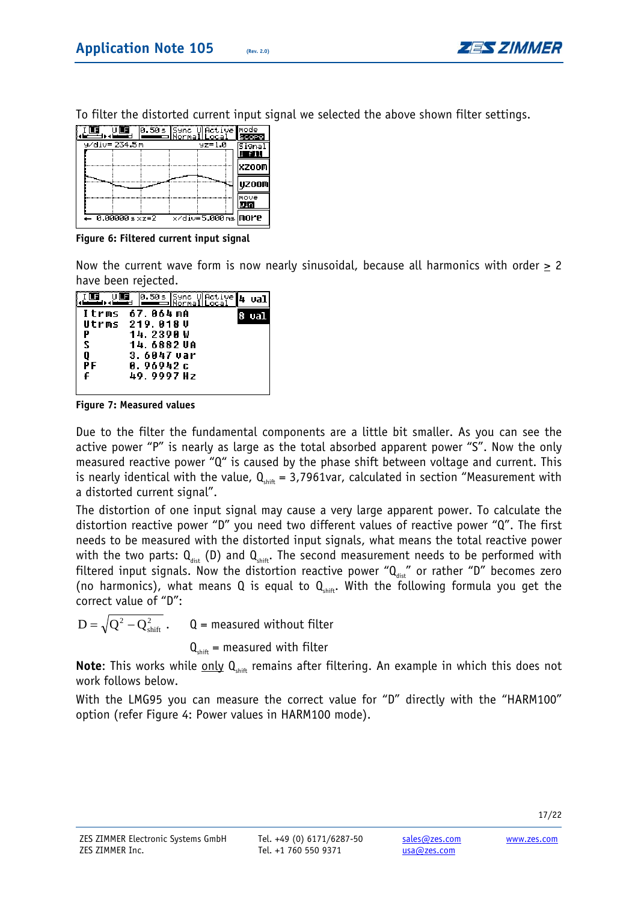

| ULE                     |                     | scope          |
|-------------------------|---------------------|----------------|
| 9/div=234.5m            | $yz = 1.0$          | 5i9na<br>i fil |
|                         |                     | <b>XZOOM</b>   |
|                         |                     | <b>UZ00M</b>   |
|                         |                     | Imove          |
|                         |                     | win            |
| $0.000005 \times z = 2$ | x/div=5.000 ms more |                |

To filter the distorted current input signal we selected the above shown filter settings.

**Figure 6: Filtered current input signal** 

Now the current wave form is now nearly sinusoidal, because all harmonics with order > 2 have been rejected.

|    | $[0.50s]$ Sync U $Action$<br>Normallocal | val |
|----|------------------------------------------|-----|
|    | Itrms 67.064mA                           | val |
|    | Utrms 219.A18U                           |     |
| Р  | 14. 239A W                               |     |
| s  | 14. 6882 VA                              |     |
| Q  | 3.6047 var                               |     |
| РF | 0. 96942 с                               |     |
| £  | 49.9997 Hz                               |     |
|    |                                          |     |

**Figure 7: Measured values** 

Due to the filter the fundamental components are a little bit smaller. As you can see the active power "P" is nearly as large as the total absorbed apparent power "S". Now the only measured reactive power "Q" is caused by the phase shift between voltage and current. This is nearly identical with the value,  $Q_{\text{other}} = 3,7961$ var, calculated in section "Measurement with a distorted current signal".

The distortion of one input signal may cause a very large apparent power. To calculate the distortion reactive power "D" you need two different values of reactive power "Q". The first needs to be measured with the distorted input signals, what means the total reactive power with the two parts:  $Q_{\text{det}}$  (D) and  $Q_{\text{shift}}$ . The second measurement needs to be performed with filtered input signals. Now the distortion reactive power " $Q_{\text{dist}}$ " or rather "D" becomes zero (no harmonics), what means Q is equal to  $Q_{\text{shift}}$ . With the following formula you get the correct value of "D":

2 shift  $Q$  = measured without filter

 $Q<sub>shift</sub>$  = measured with filter

**Note:** This works while only Q<sub>shift</sub> remains after filtering. An example in which this does not work follows below.

With the LMG95 you can measure the correct value for "D" directly with the "HARM100" option (refer Figure 4: Power values in HARM100 mode).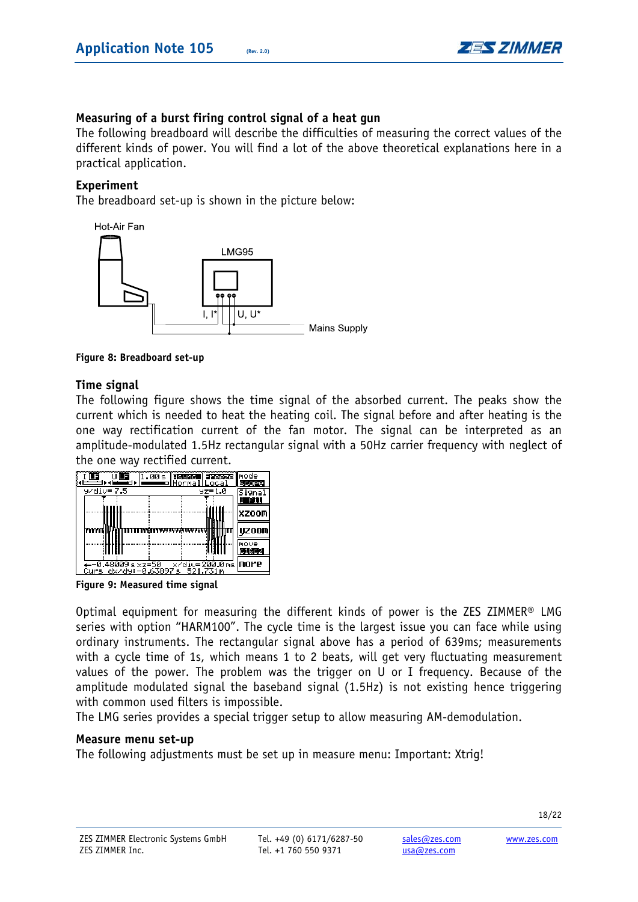

# **Measuring of a burst firing control signal of a heat gun**

The following breadboard will describe the difficulties of measuring the correct values of the different kinds of power. You will find a lot of the above theoretical explanations here in a practical application.

#### **Experiment**

The breadboard set-up is shown in the picture below:



**Figure 8: Breadboard set-up** 

## **Time signal**

The following figure shows the time signal of the absorbed current. The peaks show the current which is needed to heat the heating coil. The signal before and after heating is the one way rectification current of the fan motor. The signal can be interpreted as an amplitude-modulated 1.5Hz rectangular signal with a 50Hz carrier frequency with neglect of the one way rectified current.

| ÜËË                                    | 00 s <b>Essare Fassace I</b> node<br>o Normal Local | <b>SCOPE</b>     |
|----------------------------------------|-----------------------------------------------------|------------------|
| $y$ /div= $7.5$                        | $yz = 1.0$                                          | Signal<br>i Till |
|                                        |                                                     | XZOOM            |
|                                        |                                                     | <b>UZ00M</b>     |
|                                        |                                                     | Imove<br>c1&c2l  |
| --0.48009sxz=50<br>Curs dx/dy:-0.63897 | x/div=200.0ms <b>more</b><br>521.731 m<br>s         |                  |

**Figure 9: Measured time signal** 

Optimal equipment for measuring the different kinds of power is the ZES ZIMMER® LMG series with option "HARM100". The cycle time is the largest issue you can face while using ordinary instruments. The rectangular signal above has a period of 639ms; measurements with a cycle time of 1s, which means 1 to 2 beats, will get very fluctuating measurement values of the power. The problem was the trigger on U or I frequency. Because of the amplitude modulated signal the baseband signal (1.5Hz) is not existing hence triggering with common used filters is impossible.

The LMG series provides a special trigger setup to allow measuring AM-demodulation.

#### **Measure menu set-up**

The following adjustments must be set up in measure menu: Important: Xtrig!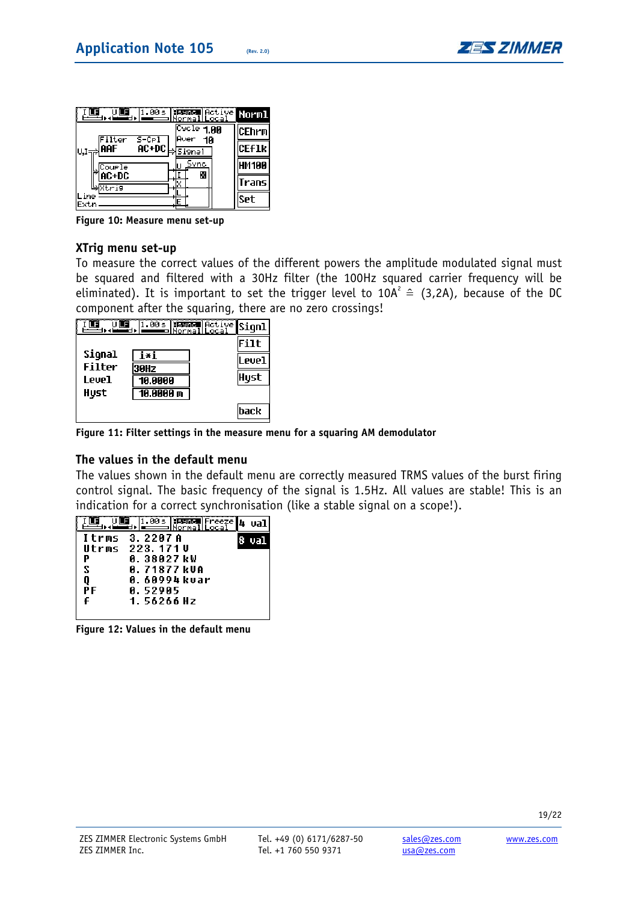

| .00s  isaac Active Norml<br>LF<br> Normal Local         |              |
|---------------------------------------------------------|--------------|
| $\overline{\text{Cycle}}$ 1.00<br>Aver<br>Filter<br>10  | CEhrm        |
| $5-CP1$<br>AC+DC<br>iaaf<br>Si9nal<br>U,I <del>⊣≓</del> | <b>CEFIK</b> |
| Sync<br>Courle                                          | HM 100       |
| X<br>AC+DC<br>∌Xtrig                                    | irans        |
| ine<br>Extn                                             | Set          |

**Figure 10: Measure menu set-up** 

# **XTrig menu set-up**

To measure the correct values of the different powers the amplitude modulated signal must be squared and filtered with a 30Hz filter (the 100Hz squared carrier frequency will be eliminated). It is important to set the trigger level to 10A<sup>2</sup>  $\hat{=}$  (3,2A), because of the DC component after the squaring, there are no zero crossings!



**Figure 11: Filter settings in the measure menu for a squaring AM demodulator** 

# **The values in the default menu**

The values shown in the default menu are correctly measured TRMS values of the burst firing control signal. The basic frequency of the signal is 1.5Hz. All values are stable! This is an indication for a correct synchronisation (like a stable signal on a scope!).

|    | 1.00s  Benne  Freeze  4<br>  <del>-   </del>   Normal  Local |     |
|----|--------------------------------------------------------------|-----|
|    | Itrms 3.2207A                                                | ual |
|    | Utrms 223.171U                                               |     |
| Р  | 0. 38027 kW                                                  |     |
| S  | 0. 71877 kVA                                                 |     |
| Q  | 0. 60994 kvar                                                |     |
| PF | A. 529A5                                                     |     |
| £  | 1. 56266 Hz                                                  |     |
|    |                                                              |     |

**Figure 12: Values in the default menu**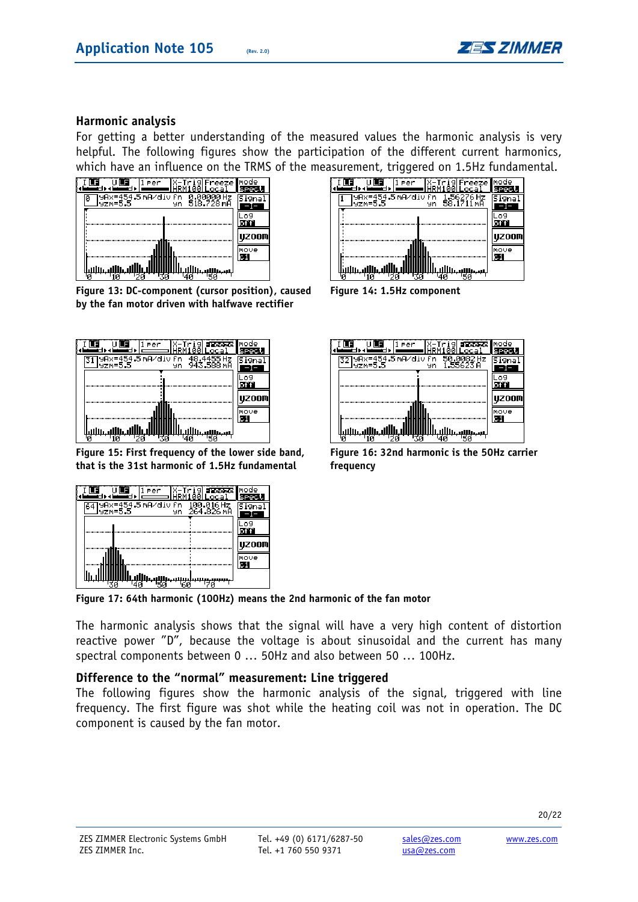

# **Harmonic analysis**

For getting a better understanding of the measured values the harmonic analysis is very helpful. The following figures show the participation of the different current harmonics, which have an influence on the TRMS of the measurement, triggered on 1.5Hz fundamental.



**Figure 13: DC-component (cursor position), caused by the fan motor driven with halfwave rectifier** 



**Figure 15: First frequency of the lower side band, that is the 31st harmonic of 1.5Hz fundamental** 

| Per                                   | X-Tri <b>gia pagasza i</b> mode<br>M100LLocai |       |
|---------------------------------------|-----------------------------------------------|-------|
| 9Ax=454.5 mA/div fn<br>lyzm=5.5<br>9n | 100.016 Hz<br>264.826 mA                      |       |
|                                       |                                               |       |
|                                       |                                               | UZ00M |
|                                       |                                               | move  |
|                                       |                                               |       |

**Figure 17: 64th harmonic (100Hz) means the 2nd harmonic of the fan motor** 

The harmonic analysis shows that the signal will have a very high content of distortion reactive power "D", because the voltage is about sinusoidal and the current has many spectral components between 0 … 50Hz and also between 50 … 100Hz.

## **Difference to the "normal" measurement: Line triggered**

The following figures show the harmonic analysis of the signal, triggered with line frequency. The first figure was shot while the heating coil was not in operation. The DC component is caused by the fan motor.



**Figure 14: 1.5Hz component** 

| Per                            | X-Trig<br>Freeze<br>100 Loca | mode  |
|--------------------------------|------------------------------|-------|
| yAx=454.5mA∕div fn<br>lyzm=5.5 | 50.0082 Hz<br>1.55623A<br>чn | fiar  |
|                                |                              |       |
|                                |                              | uzoom |
|                                |                              | move  |
|                                | استالاسا                     |       |

**Figure 16: 32nd harmonic is the 50Hz carrier frequency**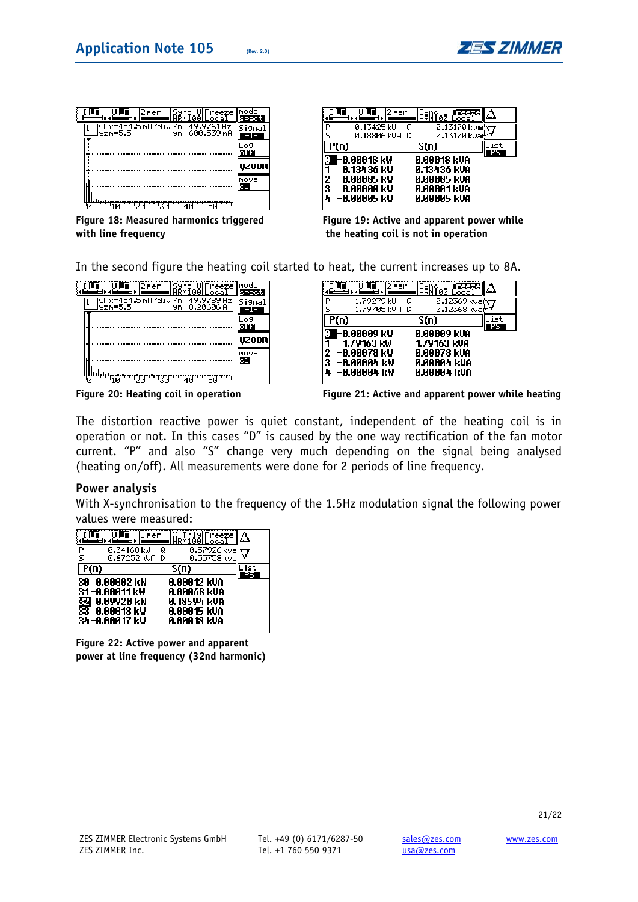

| Sync UlFreeze Imode<br>12 Per<br>ARM100 Loca                      |      |
|-------------------------------------------------------------------|------|
| 98x=454.5 mA/div fn<br>49.9761 Hz<br>600.539 MH<br>lyzm=5.5<br>9n |      |
|                                                                   |      |
|                                                                   | OOM  |
|                                                                   | nove |
|                                                                   |      |

**Figure 18: Measured harmonics triggered with line frequency** 

|        | ٦Ē<br>l2 Per              | Sync Ul <b>ariaac</b><br>HRM100Local                    |  |
|--------|---------------------------|---------------------------------------------------------|--|
| P      | 0.13425 kW<br>0.18806 kVA | 0.13170 kva $\overline{\in}$<br>Q<br>0.13170 kvar<br>-D |  |
|        | P(n)                      | $\overline{S(n)}$                                       |  |
|        |                           |                                                         |  |
| П      | ⊢0.00018 kW               | <b>0.00018 KVA</b>                                      |  |
| 1      | 0.13436 kW                | 0.13436 kUA                                             |  |
| 2<br>3 | –0.00085 kW<br>8.88888 kW | 0.00085 kVA<br>0.00001 kVA                              |  |

**Figure 19: Active and apparent power while the heating coil is not in operation** 

In the second figure the heating coil started to heat, the current increases up to 8A.

|  | í2 Per<br>Freeze<br>1 คค<br>Loca                                | mode  |
|--|-----------------------------------------------------------------|-------|
|  | 98x=454.5m8/div fn<br>49.9789 Hz<br>8.20606 A<br>lyzm=5.5<br>9n |       |
|  |                                                                 |       |
|  |                                                                 | IZOOM |
|  |                                                                 | Imove |
|  |                                                                 |       |

|                       | 2 Per                                                                  |        | HŘMÍ00Local                                                                    | Freeze                       |  |
|-----------------------|------------------------------------------------------------------------|--------|--------------------------------------------------------------------------------|------------------------------|--|
| P<br>Ŝ                | 1.79279 kW<br>1.79705 kVA                                              | Q<br>D |                                                                                | 0.12369 kvafi<br>0.12368 kva |  |
| P(n)                  |                                                                        |        | S(n)                                                                           |                              |  |
| ว<br>1<br>2<br>3<br>л | ⊢0.00009 kW<br>1.79163 kW<br>–0.00078 kW<br>–0.00004 kV<br>–0.00004 kW |        | <b>0.00009 kVA</b><br>1.79163 kUA<br>0.00078 kVA<br>0.00004 kUA<br>0.00004 kUA |                              |  |

**Figure 20: Heating coil in operation Figure 21: Active and apparent power while heating**

The distortion reactive power is quiet constant, independent of the heating coil is in operation or not. In this cases "D" is caused by the one way rectification of the fan motor current. "P" and also "S" change very much depending on the signal being analysed (heating on/off). All measurements were done for 2 periods of line frequency.

#### **Power analysis**

With X-synchronisation to the frequency of the 1.5Hz modulation signal the following power values were measured:

|      | Per                             | -Trig Freeze<br>iRM100Local      |  |
|------|---------------------------------|----------------------------------|--|
| P    | 0.34168 kW<br>0.67252 kVA<br>D  | 0.57926 kval<br>Q<br>0.55758 kva |  |
| P(n) |                                 | S(n)                             |  |
|      |                                 |                                  |  |
| 30   | 8.88882 kW<br>31-0.00011 kW     | 0.00012 kVA<br>0.00068 kUA       |  |
| 꾫    | 0.09920 kV<br><b>0.00013 kW</b> | 0.18594 kua<br>0.00015 kVA       |  |

**Figure 22: Active power and apparent power at line frequency (32nd harmonic)**